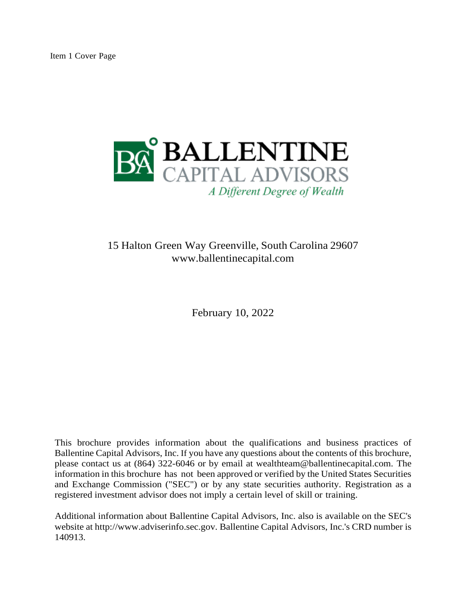

# 15 Halton Green Way Greenville, South Carolina 29607 [www.ballentinecapital.com](http://www.ballentinecapital.com/)

February 10, 2022

This brochure provides information about the qualifications and business practices of Ballentine Capital Advisors, Inc. If you have any questions about the contents of this brochure, please contact us at (864) 322-6046 or by email at [wealthteam@ballentinecapital.com.](mailto:wealthteam@ballentinecapital.com) The information in this brochure has not been approved or verified by the United States Securities and Exchange Commission ("SEC") or by any state securities authority. Registration as a registered investment advisor does not imply a certain level of skill or training.

Additional information about Ballentine Capital Advisors, Inc. also is available on the SEC's website at [http://www.adviserinfo.sec.gov.](http://www.adviserinfo.sec.gov/) Ballentine Capital Advisors, Inc.'s CRD number is 140913.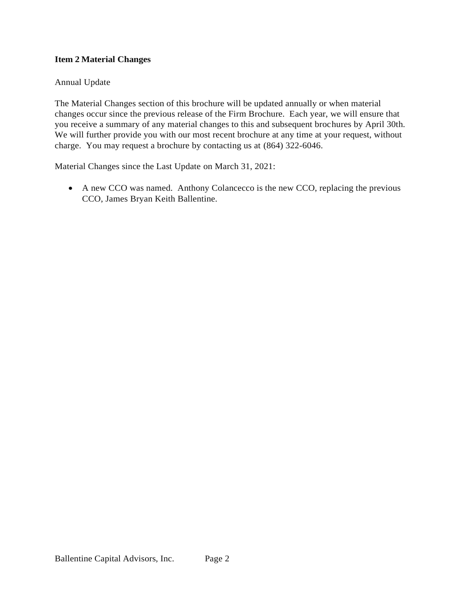## <span id="page-1-0"></span>**Item 2 Material Changes**

## Annual Update

The Material Changes section of this brochure will be updated annually or when material changes occur since the previous release of the Firm Brochure. Each year, we will ensure that you receive a summary of any material changes to this and subsequent brochures by April 30th. We will further provide you with our most recent brochure at any time at your request, without charge. You may request a brochure by contacting us at (864) 322-6046.

Material Changes since the Last Update on March 31, 2021:

• A new CCO was named. Anthony Colancecco is the new CCO, replacing the previous CCO, James Bryan Keith Ballentine.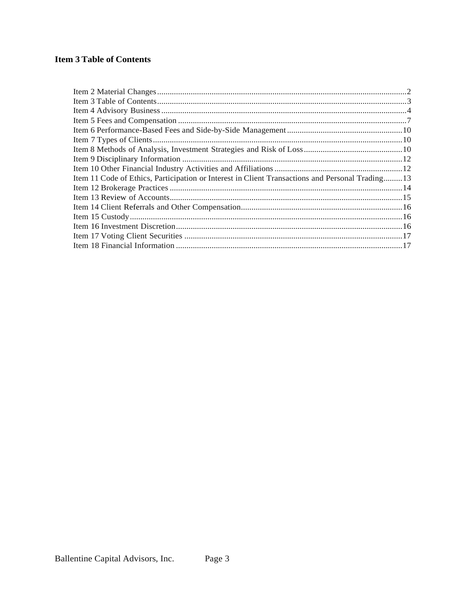## <span id="page-2-0"></span>**Item 3 Table of Contents**

| Item 11 Code of Ethics, Participation or Interest in Client Transactions and Personal Trading13 |  |
|-------------------------------------------------------------------------------------------------|--|
|                                                                                                 |  |
|                                                                                                 |  |
|                                                                                                 |  |
|                                                                                                 |  |
|                                                                                                 |  |
|                                                                                                 |  |
|                                                                                                 |  |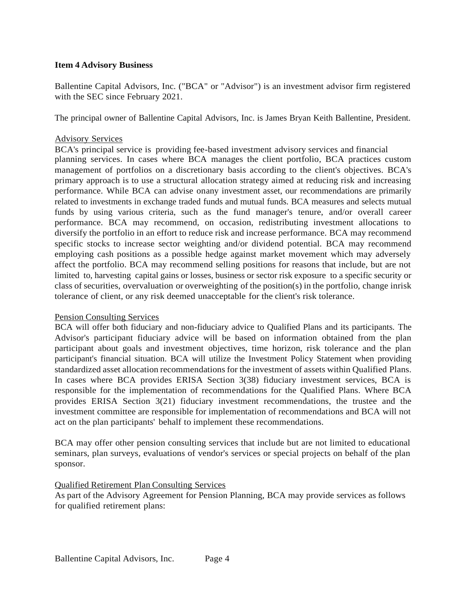## <span id="page-3-0"></span>**Item 4 Advisory Business**

Ballentine Capital Advisors, Inc. ("BCA" or "Advisor") is an investment advisor firm registered with the SEC since February 2021.

The principal owner of Ballentine Capital Advisors, Inc. is James Bryan Keith Ballentine, President.

#### Advisory Services

BCA's principal service is providing fee-based investment advisory services and financial planning services. In cases where BCA manages the client portfolio, BCA practices custom management of portfolios on a discretionary basis according to the client's objectives. BCA's primary approach is to use a structural allocation strategy aimed at reducing risk and increasing performance. While BCA can advise onany investment asset, our recommendations are primarily related to investments in exchange traded funds and mutual funds. BCA measures and selects mutual funds by using various criteria, such as the fund manager's tenure, and/or overall career performance. BCA may recommend, on occasion, redistributing investment allocations to diversify the portfolio in an effort to reduce risk and increase performance. BCA may recommend specific stocks to increase sector weighting and/or dividend potential. BCA may recommend employing cash positions as a possible hedge against market movement which may adversely affect the portfolio. BCA may recommend selling positions for reasons that include, but are not limited to, harvesting capital gains or losses, business or sector risk exposure to a specific security or class of securities, overvaluation or overweighting of the position(s) in the portfolio, change inrisk tolerance of client, or any risk deemed unacceptable for the client's risk tolerance.

#### Pension Consulting Services

BCA will offer both fiduciary and non-fiduciary advice to Qualified Plans and its participants. The Advisor's participant fiduciary advice will be based on information obtained from the plan participant about goals and investment objectives, time horizon, risk tolerance and the plan participant's financial situation. BCA will utilize the Investment Policy Statement when providing standardized asset allocation recommendations for the investment of assets within Qualified Plans. In cases where BCA provides ERISA Section 3(38) fiduciary investment services, BCA is responsible for the implementation of recommendations for the Qualified Plans. Where BCA provides ERISA Section 3(21) fiduciary investment recommendations, the trustee and the investment committee are responsible for implementation of recommendations and BCA will not act on the plan participants' behalf to implement these recommendations.

BCA may offer other pension consulting services that include but are not limited to educational seminars, plan surveys, evaluations of vendor's services or special projects on behalf of the plan sponsor.

#### Qualified Retirement Plan Consulting Services

As part of the Advisory Agreement for Pension Planning, BCA may provide services as follows for qualified retirement plans: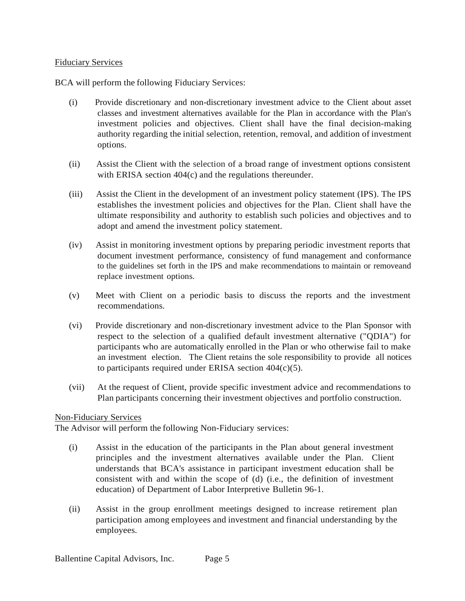## Fiduciary Services

BCA will perform the following Fiduciary Services:

- (i) Provide discretionary and non-discretionary investment advice to the Client about asset classes and investment alternatives available for the Plan in accordance with the Plan's investment policies and objectives. Client shall have the final decision-making authority regarding the initial selection, retention, removal, and addition of investment options.
- (ii) Assist the Client with the selection of a broad range of investment options consistent with ERISA section 404(c) and the regulations thereunder.
- (iii) Assist the Client in the development of an investment policy statement (IPS). The IPS establishes the investment policies and objectives for the Plan. Client shall have the ultimate responsibility and authority to establish such policies and objectives and to adopt and amend the investment policy statement.
- (iv) Assist in monitoring investment options by preparing periodic investment reports that document investment performance, consistency of fund management and conformance to the guidelines set forth in the IPS and make recommendations to maintain or removeand replace investment options.
- (v) Meet with Client on a periodic basis to discuss the reports and the investment recommendations.
- (vi) Provide discretionary and non-discretionary investment advice to the Plan Sponsor with respect to the selection of a qualified default investment alternative ("QDIA") for participants who are automatically enrolled in the Plan or who otherwise fail to make an investment election. The Client retains the sole responsibility to provide all notices to participants required under ERISA section 404(c)(5).
- (vii) At the request of Client, provide specific investment advice and recommendations to Plan participants concerning their investment objectives and portfolio construction.

#### Non-Fiduciary Services

The Advisor will perform the following Non-Fiduciary services:

- (i) Assist in the education of the participants in the Plan about general investment principles and the investment alternatives available under the Plan. Client understands that BCA's assistance in participant investment education shall be consistent with and within the scope of (d) (i.e., the definition of investment education) of Department of Labor Interpretive Bulletin 96-1.
- (ii) Assist in the group enrollment meetings designed to increase retirement plan participation among employees and investment and financial understanding by the employees.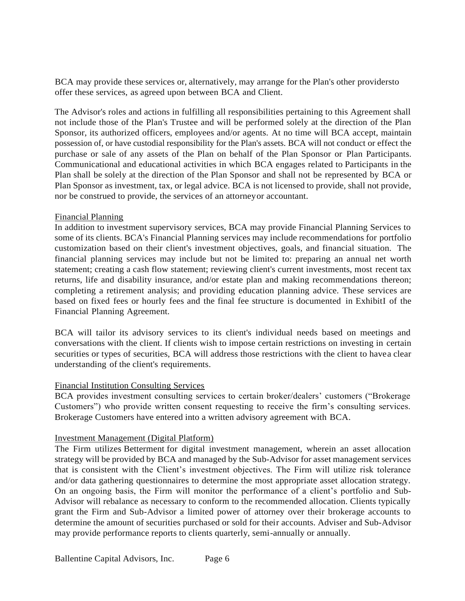BCA may provide these services or, alternatively, may arrange for the Plan's other providersto offer these services, as agreed upon between BCA and Client.

The Advisor's roles and actions in fulfilling all responsibilities pertaining to this Agreement shall not include those of the Plan's Trustee and will be performed solely at the direction of the Plan Sponsor, its authorized officers, employees and/or agents. At no time will BCA accept, maintain possession of, or have custodial responsibility for the Plan's assets. BCA will not conduct or effect the purchase or sale of any assets of the Plan on behalf of the Plan Sponsor or Plan Participants. Communicational and educational activities in which BCA engages related to Participants in the Plan shall be solely at the direction of the Plan Sponsor and shall not be represented by BCA or Plan Sponsor as investment, tax, or legal advice. BCA is not licensed to provide, shall not provide, nor be construed to provide, the services of an attorneyor accountant.

#### Financial Planning

In addition to investment supervisory services, BCA may provide Financial Planning Services to some of its clients. BCA's Financial Planning services may include recommendations for portfolio customization based on their client's investment objectives, goals, and financial situation. The financial planning services may include but not be limited to: preparing an annual net worth statement; creating a cash flow statement; reviewing client's current investments, most recent tax returns, life and disability insurance, and/or estate plan and making recommendations thereon; completing a retirement analysis; and providing education planning advice. These services are based on fixed fees or hourly fees and the final fee structure is documented in ExhibitI of the Financial Planning Agreement.

BCA will tailor its advisory services to its client's individual needs based on meetings and conversations with the client. If clients wish to impose certain restrictions on investing in certain securities or types of securities, BCA will address those restrictions with the client to havea clear understanding of the client's requirements.

## Financial Institution Consulting Services

BCA provides investment consulting services to certain broker/dealers' customers ("Brokerage Customers") who provide written consent requesting to receive the firm's consulting services. Brokerage Customers have entered into a written advisory agreement with BCA.

## Investment Management (Digital Platform)

The Firm utilizes Betterment for digital investment management, wherein an asset allocation strategy will be provided by BCA and managed by the Sub-Advisor for asset management services that is consistent with the Client's investment objectives. The Firm will utilize risk tolerance and/or data gathering questionnaires to determine the most appropriate asset allocation strategy. On an ongoing basis, the Firm will monitor the performance of a client's portfolio and Sub-Advisor will rebalance as necessary to conform to the recommended allocation. Clients typically grant the Firm and Sub-Advisor a limited power of attorney over their brokerage accounts to determine the amount of securities purchased or sold for their accounts. Adviser and Sub-Advisor may provide performance reports to clients quarterly, semi-annually or annually.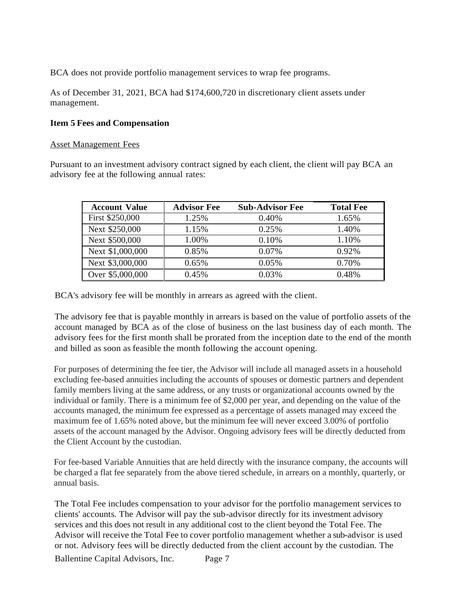BCA does not provide portfolio management services to wrap fee programs.

As of December 31, 2021, BCA had \$174,600,720 in discretionary client assets under management.

## <span id="page-6-0"></span>**Item 5 Fees and Compensation**

#### Asset Management Fees

Pursuant to an investment advisory contract signed by each client, the client will pay BCA an advisory fee at the following annual rates:

| <b>Account Value</b> | <b>Advisor Fee</b> | <b>Sub-Advisor Fee</b> | <b>Total Fee</b> |
|----------------------|--------------------|------------------------|------------------|
| First \$250,000      | 1.25%              | 0.40%                  | 1.65%            |
| Next \$250,000       | 1.15%              | 0.25%                  | 1.40%            |
| Next \$500,000       | 1.00%              | 0.10%                  | 1.10%            |
| Next \$1,000,000     | 0.85%              | 0.07%                  | $0.92\%$         |
| Next \$3,000,000     | 0.65%              | 0.05%                  | 0.70%            |
| Over \$5,000,000     | 0.45%              | 0.03%                  | 0.48%            |

BCA's advisory fee will be monthly in arrears as agreed with the client.

The advisory fee that is payable monthly in arrears is based on the value of portfolio assets of the account managed by BCA as of the close of business on the last business day of each month. The advisory fees for the first month shall be prorated from the inception date to the end of the month and billed as soon as feasible the month following the account opening.

For purposes of determining the fee tier, the Advisor will include all managed assets in a household excluding fee-based annuities including the accounts of spouses or domestic partners and dependent family members living at the same address, or any trusts or organizational accounts owned by the individual or family. There is a minimum fee of \$2,000 per year, and depending on the value of the accounts managed, the minimum fee expressed as a percentage of assets managed may exceed the maximum fee of 1.65% noted above, but the minimum fee will never exceed 3.00% of portfolio assets of the account managed by the Advisor. Ongoing advisory fees will be directly deducted from the Client Account by the custodian.

For fee-based Variable Annuities that are held directly with the insurance company, the accounts will be charged a flat fee separately from the above tiered schedule, in arrears on a monthly, quarterly, or annual basis.

The Total Fee includes compensation to your advisor for the portfolio management services to clients' accounts. The Advisor will pay the sub-advisor directly for its investment advisory services and this does not result in any additional cost to the client beyond the Total Fee. The Advisor will receive the Total Fee to cover portfolio management whether a sub-advisor is used or not. Advisory fees will be directly deducted from the client account by the custodian. The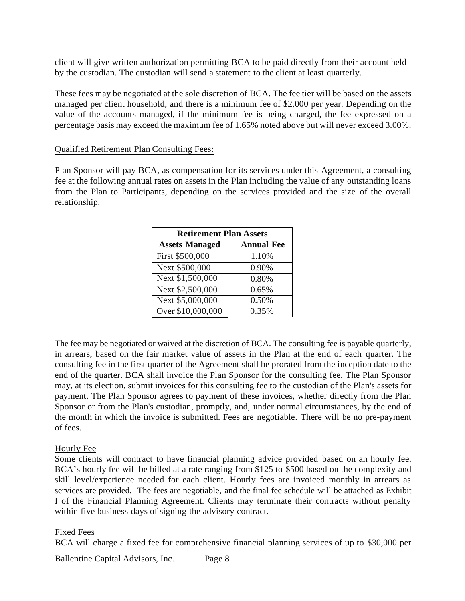client will give written authorization permitting BCA to be paid directly from their account held by the custodian. The custodian will send a statement to the client at least quarterly.

These fees may be negotiated at the sole discretion of BCA. The fee tier will be based on the assets managed per client household, and there is a minimum fee of \$2,000 per year. Depending on the value of the accounts managed, if the minimum fee is being charged, the fee expressed on a percentage basis may exceed the maximum fee of 1.65% noted above but will never exceed 3.00%.

#### Qualified Retirement Plan Consulting Fees:

Plan Sponsor will pay BCA, as compensation for its services under this Agreement, a consulting fee at the following annual rates on assets in the Plan including the value of any outstanding loans from the Plan to Participants, depending on the services provided and the size of the overall relationship.

| <b>Retirement Plan Assets</b> |                   |  |  |
|-------------------------------|-------------------|--|--|
| <b>Assets Managed</b>         | <b>Annual Fee</b> |  |  |
| First \$500,000               | 1.10%             |  |  |
| Next \$500,000                | 0.90%             |  |  |
| Next \$1,500,000              | 0.80%             |  |  |
| Next \$2,500,000              | 0.65%             |  |  |
| Next \$5,000,000              | 0.50%             |  |  |
| Over \$10,000,000             | 0.35%             |  |  |

The fee may be negotiated or waived at the discretion of BCA. The consulting fee is payable quarterly, in arrears, based on the fair market value of assets in the Plan at the end of each quarter. The consulting fee in the first quarter of the Agreement shall be prorated from the inception date to the end of the quarter. BCA shall invoice the Plan Sponsor for the consulting fee. The Plan Sponsor may, at its election, submit invoices for this consulting fee to the custodian of the Plan's assets for payment. The Plan Sponsor agrees to payment of these invoices, whether directly from the Plan Sponsor or from the Plan's custodian, promptly, and, under normal circumstances, by the end of the month in which the invoice is submitted. Fees are negotiable. There will be no pre-payment of fees.

#### Hourly Fee

Some clients will contract to have financial planning advice provided based on an hourly fee. BCA's hourly fee will be billed at a rate ranging from \$125 to \$500 based on the complexity and skill level/experience needed for each client. Hourly fees are invoiced monthly in arrears as services are provided. The fees are negotiable, and the final fee schedule will be attached as Exhibit I of the Financial Planning Agreement. Clients may terminate their contracts without penalty within five business days of signing the advisory contract.

#### Fixed Fees

BCA will charge a fixed fee for comprehensive financial planning services of up to \$30,000 per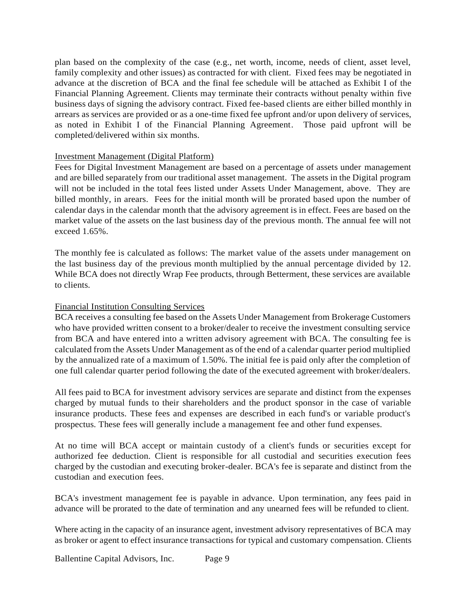plan based on the complexity of the case (e.g., net worth, income, needs of client, asset level, family complexity and other issues) as contracted for with client. Fixed fees may be negotiated in advance at the discretion of BCA and the final fee schedule will be attached as Exhibit I of the Financial Planning Agreement. Clients may terminate their contracts without penalty within five business days of signing the advisory contract. Fixed fee-based clients are either billed monthly in arrears as services are provided or as a one-time fixed fee upfront and/or upon delivery of services, as noted in Exhibit I of the Financial Planning Agreement. Those paid upfront will be completed/delivered within six months.

## Investment Management (Digital Platform)

Fees for Digital Investment Management are based on a percentage of assets under management and are billed separately from our traditional asset management. The assets in the Digital program will not be included in the total fees listed under Assets Under Management, above. They are billed monthly, in arears. Fees for the initial month will be prorated based upon the number of calendar days in the calendar month that the advisory agreement is in effect. Fees are based on the market value of the assets on the last business day of the previous month. The annual fee will not exceed 1.65%.

The monthly fee is calculated as follows: The market value of the assets under management on the last business day of the previous month multiplied by the annual percentage divided by 12. While BCA does not directly Wrap Fee products, through Betterment, these services are available to clients.

## Financial Institution Consulting Services

BCA receives a consulting fee based on the Assets Under Management from Brokerage Customers who have provided written consent to a broker/dealer to receive the investment consulting service from BCA and have entered into a written advisory agreement with BCA. The consulting fee is calculated from the Assets Under Management as of the end of a calendar quarter period multiplied by the annualized rate of a maximum of 1.50%. The initial fee is paid only after the completion of one full calendar quarter period following the date of the executed agreement with broker/dealers.

All fees paid to BCA for investment advisory services are separate and distinct from the expenses charged by mutual funds to their shareholders and the product sponsor in the case of variable insurance products. These fees and expenses are described in each fund's or variable product's prospectus. These fees will generally include a management fee and other fund expenses.

At no time will BCA accept or maintain custody of a client's funds or securities except for authorized fee deduction. Client is responsible for all custodial and securities execution fees charged by the custodian and executing broker-dealer. BCA's fee is separate and distinct from the custodian and execution fees.

BCA's investment management fee is payable in advance. Upon termination, any fees paid in advance will be prorated to the date of termination and any unearned fees will be refunded to client.

Where acting in the capacity of an insurance agent, investment advisory representatives of BCA may as broker or agent to effect insurance transactions for typical and customary compensation. Clients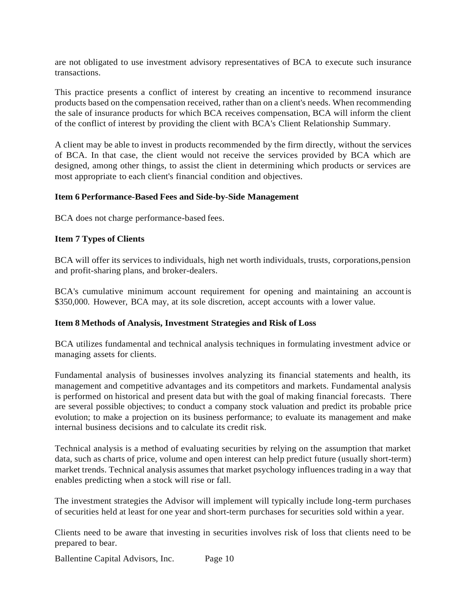are not obligated to use investment advisory representatives of BCA to execute such insurance transactions.

This practice presents a conflict of interest by creating an incentive to recommend insurance products based on the compensation received, rather than on a client's needs. When recommending the sale of insurance products for which BCA receives compensation, BCA will inform the client of the conflict of interest by providing the client with BCA's Client Relationship Summary.

A client may be able to invest in products recommended by the firm directly, without the services of BCA. In that case, the client would not receive the services provided by BCA which are designed, among other things, to assist the client in determining which products or services are most appropriate to each client's financial condition and objectives.

#### <span id="page-9-0"></span>**Item 6 Performance-Based Fees and Side-by-Side Management**

BCA does not charge performance-based fees.

#### <span id="page-9-1"></span>**Item 7 Types of Clients**

BCA will offer its services to individuals, high net worth individuals, trusts, corporations,pension and profit-sharing plans, and broker-dealers.

BCA's cumulative minimum account requirement for opening and maintaining an account is \$350,000. However, BCA may, at its sole discretion, accept accounts with a lower value.

#### <span id="page-9-2"></span>**Item 8 Methods of Analysis, Investment Strategies and Risk of Loss**

BCA utilizes fundamental and technical analysis techniques in formulating investment advice or managing assets for clients.

Fundamental analysis of businesses involves analyzing its financial statements and health, its management and competitive advantages and its competitors and markets. Fundamental analysis is performed on historical and present data but with the goal of making financial forecasts. There are several possible objectives; to conduct a company stock valuation and predict its probable price evolution; to make a projection on its business performance; to evaluate its management and make internal business decisions and to calculate its credit risk.

Technical analysis is a method of evaluating securities by relying on the assumption that market data, such as charts of price, volume and open interest can help predict future (usually short-term) market trends. Technical analysis assumes that market psychology influences trading in a way that enables predicting when a stock will rise or fall.

The investment strategies the Advisor will implement will typically include long-term purchases of securities held at least for one year and short-term purchases for securities sold within a year.

Clients need to be aware that investing in securities involves risk of loss that clients need to be prepared to bear.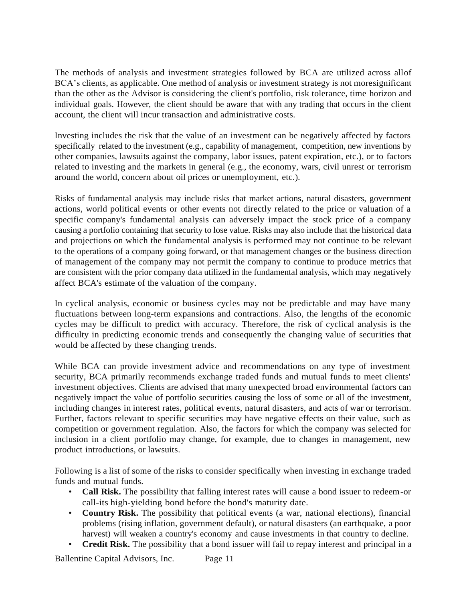The methods of analysis and investment strategies followed by BCA are utilized across allof BCA's clients, as applicable. One method of analysis or investment strategy is not moresignificant than the other as the Advisor is considering the client's portfolio, risk tolerance, time horizon and individual goals. However, the client should be aware that with any trading that occurs in the client account, the client will incur transaction and administrative costs.

Investing includes the risk that the value of an investment can be negatively affected by factors specifically related to the investment (e.g., capability of management, competition, new inventions by other companies, lawsuits against the company, labor issues, patent expiration, etc.), or to factors related to investing and the markets in general (e.g., the economy, wars, civil unrest or terrorism around the world, concern about oil prices or unemployment, etc.).

Risks of fundamental analysis may include risks that market actions, natural disasters, government actions, world political events or other events not directly related to the price or valuation of a specific company's fundamental analysis can adversely impact the stock price of a company causing a portfolio containing that security to lose value. Risks may also include that the historical data and projections on which the fundamental analysis is performed may not continue to be relevant to the operations of a company going forward, or that management changes or the business direction of management of the company may not permit the company to continue to produce metrics that are consistent with the prior company data utilized in the fundamental analysis, which may negatively affect BCA's estimate of the valuation of the company.

In cyclical analysis, economic or business cycles may not be predictable and may have many fluctuations between long-term expansions and contractions. Also, the lengths of the economic cycles may be difficult to predict with accuracy. Therefore, the risk of cyclical analysis is the difficulty in predicting economic trends and consequently the changing value of securities that would be affected by these changing trends.

While BCA can provide investment advice and recommendations on any type of investment security, BCA primarily recommends exchange traded funds and mutual funds to meet clients' investment objectives. Clients are advised that many unexpected broad environmental factors can negatively impact the value of portfolio securities causing the loss of some or all of the investment, including changes in interest rates, political events, natural disasters, and acts of war or terrorism. Further, factors relevant to specific securities may have negative effects on their value, such as competition or government regulation. Also, the factors for which the company was selected for inclusion in a client portfolio may change, for example, due to changes in management, new product introductions, or lawsuits.

Following is a list of some of the risks to consider specifically when investing in exchange traded funds and mutual funds.

- **Call Risk.** The possibility that falling interest rates will cause a bond issuer to redeem-or call-its high-yielding bond before the bond's maturity date.
- **Country Risk.** The possibility that political events (a war, national elections), financial problems (rising inflation, government default), or natural disasters (an earthquake, a poor harvest) will weaken a country's economy and cause investments in that country to decline.
- **Credit Risk.** The possibility that a bond issuer will fail to repay interest and principal in a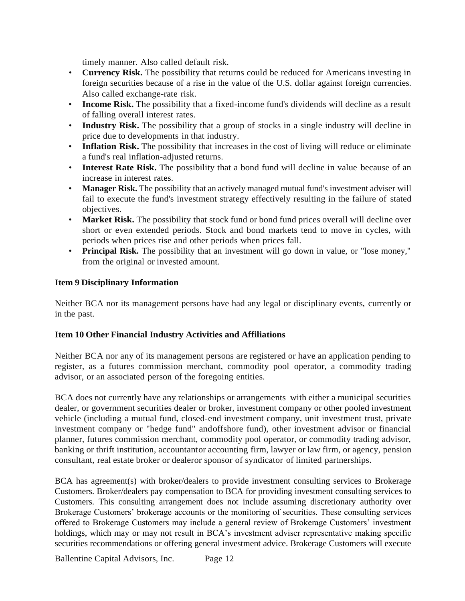timely manner. Also called default risk.

- **Currency Risk.** The possibility that returns could be reduced for Americans investing in foreign securities because of a rise in the value of the U.S. dollar against foreign currencies. Also called exchange-rate risk.
- **Income Risk.** The possibility that a fixed-income fund's dividends will decline as a result of falling overall interest rates.
- **Industry Risk.** The possibility that a group of stocks in a single industry will decline in price due to developments in that industry.
- **Inflation Risk.** The possibility that increases in the cost of living will reduce or eliminate a fund's real inflation-adjusted returns.
- **Interest Rate Risk.** The possibility that a bond fund will decline in value because of an increase in interest rates.
- Manager Risk. The possibility that an actively managed mutual fund's investment adviser will fail to execute the fund's investment strategy effectively resulting in the failure of stated objectives.
- **Market Risk.** The possibility that stock fund or bond fund prices overall will decline over short or even extended periods. Stock and bond markets tend to move in cycles, with periods when prices rise and other periods when prices fall.
- **Principal Risk.** The possibility that an investment will go down in value, or "lose money," from the original or invested amount.

## <span id="page-11-0"></span>**Item 9 Disciplinary Information**

Neither BCA nor its management persons have had any legal or disciplinary events, currently or in the past.

## <span id="page-11-1"></span>**Item 10 Other Financial Industry Activities and Affiliations**

Neither BCA nor any of its management persons are registered or have an application pending to register, as a futures commission merchant, commodity pool operator, a commodity trading advisor, or an associated person of the foregoing entities.

BCA does not currently have any relationships or arrangements with either a municipal securities dealer, or government securities dealer or broker, investment company or other pooled investment vehicle (including a mutual fund, closed-end investment company, unit investment trust, private investment company or "hedge fund" andoffshore fund), other investment advisor or financial planner, futures commission merchant, commodity pool operator, or commodity trading advisor, banking or thrift institution, accountantor accounting firm, lawyer or law firm, or agency, pension consultant, real estate broker or dealeror sponsor of syndicator of limited partnerships.

BCA has agreement(s) with broker/dealers to provide investment consulting services to Brokerage Customers. Broker/dealers pay compensation to BCA for providing investment consulting services to Customers. This consulting arrangement does not include assuming discretionary authority over Brokerage Customers' brokerage accounts or the monitoring of securities. These consulting services offered to Brokerage Customers may include a general review of Brokerage Customers' investment holdings, which may or may not result in BCA's investment adviser representative making specific securities recommendations or offering general investment advice. Brokerage Customers will execute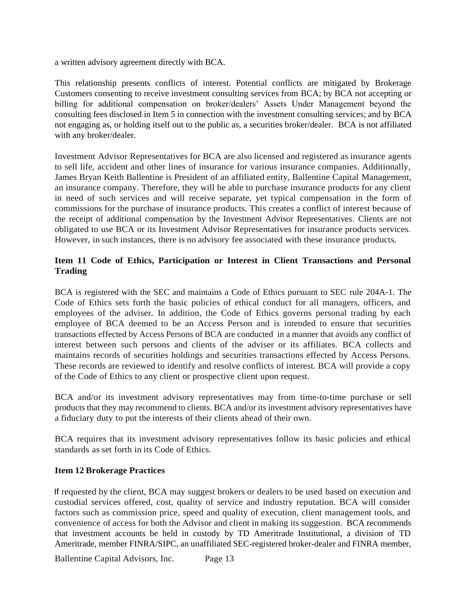a written advisory agreement directly with BCA.

This relationship presents conflicts of interest. Potential conflicts are mitigated by Brokerage Customers consenting to receive investment consulting services from BCA; by BCA not accepting or billing for additional compensation on broker/dealers' Assets Under Management beyond the consulting fees disclosed in Item 5 in connection with the investment consulting services; and by BCA not engaging as, or holding itself out to the public as, a securities broker/dealer. BCA is not affiliated with any broker/dealer.

Investment Advisor Representatives for BCA are also licensed and registered as insurance agents to sell life, accident and other lines of insurance for various insurance companies. Additionally, James Bryan Keith Ballentine is President of an affiliated entity, Ballentine Capital Management, an insurance company. Therefore, they will be able to purchase insurance products for any client in need of such services and will receive separate, yet typical compensation in the form of commissions for the purchase of insurance products. This creates a conflict of interest because of the receipt of additional compensation by the Investment Advisor Representatives. Clients are not obligated to use BCA or its Investment Advisor Representatives for insurance products services. However, in such instances, there is no advisory fee associated with these insurance products.

## <span id="page-12-0"></span>**Item 11 Code of Ethics, Participation or Interest in Client Transactions and Personal Trading**

BCA is registered with the SEC and maintains a Code of Ethics pursuant to SEC rule 204A-1. The Code of Ethics sets forth the basic policies of ethical conduct for all managers, officers, and employees of the adviser. In addition, the Code of Ethics governs personal trading by each employee of BCA deemed to be an Access Person and is intended to ensure that securities transactions effected by Access Persons of BCA are conducted in a manner that avoids any conflict of interest between such persons and clients of the adviser or its affiliates. BCA collects and maintains records of securities holdings and securities transactions effected by Access Persons. These records are reviewed to identify and resolve conflicts of interest. BCA will provide a copy of the Code of Ethics to any client or prospective client upon request.

BCA and/or its investment advisory representatives may from time-to-time purchase or sell products that they may recommend to clients. BCA and/or its investment advisory representatives have a fiduciary duty to put the interests of their clients ahead of their own.

BCA requires that its investment advisory representatives follow its basic policies and ethical standards as set forth in its Code of Ethics.

## <span id="page-12-1"></span>**Item 12 Brokerage Practices**

If requested by the client, BCA may suggest brokers or dealers to be used based on execution and custodial services offered, cost, quality of service and industry reputation. BCA will consider factors such as commission price, speed and quality of execution, client management tools, and convenience of access for both the Advisor and client in making its suggestion. BCA recommends that investment accounts be held in custody by TD Ameritrade Institutional, a division of TD Ameritrade, member FINRA/SIPC, an unaffiliated SEC-registered broker-dealer and FINRA member,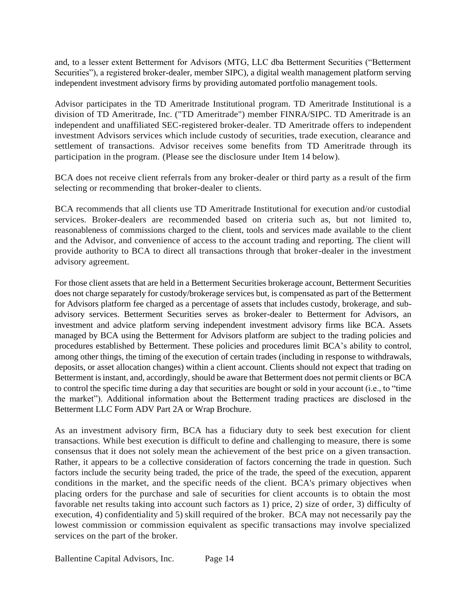and, to a lesser extent Betterment for Advisors (MTG, LLC dba Betterment Securities ("Betterment Securities"), a registered broker-dealer, member SIPC), a digital wealth management platform serving independent investment advisory firms by providing automated portfolio management tools.

Advisor participates in the TD Ameritrade Institutional program. TD Ameritrade Institutional is a division of TD Ameritrade, Inc. ("TD Ameritrade") member FINRA/SIPC. TD Ameritrade is an independent and unaffiliated SEC-registered broker-dealer. TD Ameritrade offers to independent investment Advisors services which include custody of securities, trade execution, clearance and settlement of transactions. Advisor receives some benefits from TD Ameritrade through its participation in the program. (Please see the disclosure under Item 14 below).

BCA does not receive client referrals from any broker-dealer or third party as a result of the firm selecting or recommending that broker-dealer to clients.

BCA recommends that all clients use TD Ameritrade Institutional for execution and/or custodial services. Broker-dealers are recommended based on criteria such as, but not limited to, reasonableness of commissions charged to the client, tools and services made available to the client and the Advisor, and convenience of access to the account trading and reporting. The client will provide authority to BCA to direct all transactions through that broker-dealer in the investment advisory agreement.

For those client assets that are held in a Betterment Securities brokerage account, Betterment Securities does not charge separately for custody/brokerage services but, is compensated as part of the Betterment for Advisors platform fee charged as a percentage of assets that includes custody, brokerage, and subadvisory services. Betterment Securities serves as broker-dealer to Betterment for Advisors, an investment and advice platform serving independent investment advisory firms like BCA. Assets managed by BCA using the Betterment for Advisors platform are subject to the trading policies and procedures established by Betterment. These policies and procedures limit BCA's ability to control, among other things, the timing of the execution of certain trades (including in response to withdrawals, deposits, or asset allocation changes) within a client account. Clients should not expect that trading on Betterment is instant, and, accordingly, should be aware that Betterment does not permit clients or BCA to control the specific time during a day that securities are bought or sold in your account (i.e., to "time the market"). Additional information about the Betterment trading practices are disclosed in the Betterment LLC Form ADV Part 2A or Wrap Brochure.

As an investment advisory firm, BCA has a fiduciary duty to seek best execution for client transactions. While best execution is difficult to define and challenging to measure, there is some consensus that it does not solely mean the achievement of the best price on a given transaction. Rather, it appears to be a collective consideration of factors concerning the trade in question. Such factors include the security being traded, the price of the trade, the speed of the execution, apparent conditions in the market, and the specific needs of the client. BCA's primary objectives when placing orders for the purchase and sale of securities for client accounts is to obtain the most favorable net results taking into account such factors as 1) price, 2) size of order, 3) difficulty of execution, 4) confidentiality and 5) skill required of the broker. BCA may not necessarily pay the lowest commission or commission equivalent as specific transactions may involve specialized services on the part of the broker.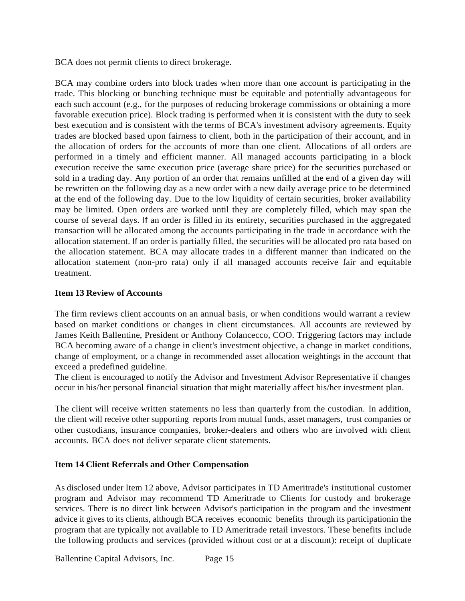BCA does not permit clients to direct brokerage.

BCA may combine orders into block trades when more than one account is participating in the trade. This blocking or bunching technique must be equitable and potentially advantageous for each such account (e.g., for the purposes of reducing brokerage commissions or obtaining a more favorable execution price). Block trading is performed when it is consistent with the duty to seek best execution and is consistent with the terms of BCA's investment advisory agreements. Equity trades are blocked based upon fairness to client, both in the participation of their account, and in the allocation of orders for the accounts of more than one client. Allocations of all orders are performed in a timely and efficient manner. All managed accounts participating in a block execution receive the same execution price (average share price) for the securities purchased or sold in a trading day. Any portion of an order that remains unfilled at the end of a given day will be rewritten on the following day as a new order with a new daily average price to be determined at the end of the following day. Due to the low liquidity of certain securities, broker availability may be limited. Open orders are worked until they are completely filled, which may span the course of several days. If an order is filled in its entirety, securities purchased in the aggregated transaction will be allocated among the accounts participating in the trade in accordance with the allocation statement. If an order is partially filled, the securities will be allocated pro rata based on the allocation statement. BCA may allocate trades in a different manner than indicated on the allocation statement (non-pro rata) only if all managed accounts receive fair and equitable treatment.

## <span id="page-14-0"></span>**Item 13 Review of Accounts**

The firm reviews client accounts on an annual basis, or when conditions would warrant a review based on market conditions or changes in client circumstances. All accounts are reviewed by James Keith Ballentine, President or Anthony Colancecco, COO. Triggering factors may include BCA becoming aware of a change in client's investment objective, a change in market conditions, change of employment, or a change in recommended asset allocation weightings in the account that exceed a predefined guideline.

The client is encouraged to notify the Advisor and Investment Advisor Representative if changes occur in his/her personal financial situation that might materially affect his/her investment plan.

The client will receive written statements no less than quarterly from the custodian. In addition, the client will receive other supporting reports from mutual funds, asset managers, trust companies or other custodians, insurance companies, broker-dealers and others who are involved with client accounts. BCA does not deliver separate client statements.

## <span id="page-14-1"></span>**Item 14 Client Referrals and Other Compensation**

As disclosed under Item 12 above, Advisor participates in TD Ameritrade's institutional customer program and Advisor may recommend TD Ameritrade to Clients for custody and brokerage services. There is no direct link between Advisor's participation in the program and the investment advice it gives to its clients, although BCA receives economic benefits through its participationin the program that are typically not available to TD Ameritrade retail investors. These benefits include the following products and services (provided without cost or at a discount): receipt of duplicate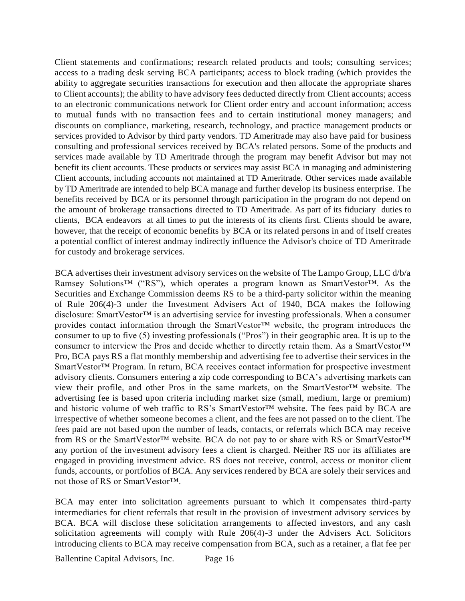Client statements and confirmations; research related products and tools; consulting services; access to a trading desk serving BCA participants; access to block trading (which provides the ability to aggregate securities transactions for execution and then allocate the appropriate shares to Client accounts); the ability to have advisory fees deducted directly from Client accounts; access to an electronic communications network for Client order entry and account information; access to mutual funds with no transaction fees and to certain institutional money managers; and discounts on compliance, marketing, research, technology, and practice management products or services provided to Advisor by third party vendors. TD Ameritrade may also have paid for business consulting and professional services received by BCA's related persons. Some of the products and services made available by TD Ameritrade through the program may benefit Advisor but may not benefit its client accounts. These products or services may assist BCA in managing and administering Client accounts, including accounts not maintained at TD Ameritrade. Other services made available by TD Ameritrade are intended to help BCA manage and further develop its business enterprise. The benefits received by BCA or its personnel through participation in the program do not depend on the amount of brokerage transactions directed to TD Ameritrade. As part of its fiduciary duties to clients, BCA endeavors at all times to put the interests of its clients first. Clients should be aware, however, that the receipt of economic benefits by BCA or its related persons in and of itself creates a potential conflict of interest andmay indirectly influence the Advisor's choice of TD Ameritrade for custody and brokerage services.

BCA advertises their investment advisory services on the website of The Lampo Group, LLC d/b/a Ramsey Solutions™ ("RS"), which operates a program known as SmartVestor™. As the Securities and Exchange Commission deems RS to be a third-party solicitor within the meaning of Rule 206(4)-3 under the Investment Advisers Act of 1940, BCA makes the following disclosure: SmartVestor™ is an advertising service for investing professionals. When a consumer provides contact information through the SmartVestor™ website, the program introduces the consumer to up to five (5) investing professionals ("Pros") in their geographic area. It is up to the consumer to interview the Pros and decide whether to directly retain them. As a SmartVestor™ Pro, BCA pays RS a flat monthly membership and advertising fee to advertise their services in the SmartVestor™ Program. In return, BCA receives contact information for prospective investment advisory clients. Consumers entering a zip code corresponding to BCA's advertising markets can view their profile, and other Pros in the same markets, on the SmartVestor™ website. The advertising fee is based upon criteria including market size (small, medium, large or premium) and historic volume of web traffic to RS's SmartVestor™ website. The fees paid by BCA are irrespective of whether someone becomes a client, and the fees are not passed on to the client. The fees paid are not based upon the number of leads, contacts, or referrals which BCA may receive from RS or the SmartVestor™ website. BCA do not pay to or share with RS or SmartVestor™ any portion of the investment advisory fees a client is charged. Neither RS nor its affiliates are engaged in providing investment advice. RS does not receive, control, access or monitor client funds, accounts, or portfolios of BCA. Any services rendered by BCA are solely their services and not those of RS or SmartVestor™.

BCA may enter into solicitation agreements pursuant to which it compensates third-party intermediaries for client referrals that result in the provision of investment advisory services by BCA. BCA will disclose these solicitation arrangements to affected investors, and any cash solicitation agreements will comply with Rule 206(4)-3 under the Advisers Act. Solicitors introducing clients to BCA may receive compensation from BCA, such as a retainer, a flat fee per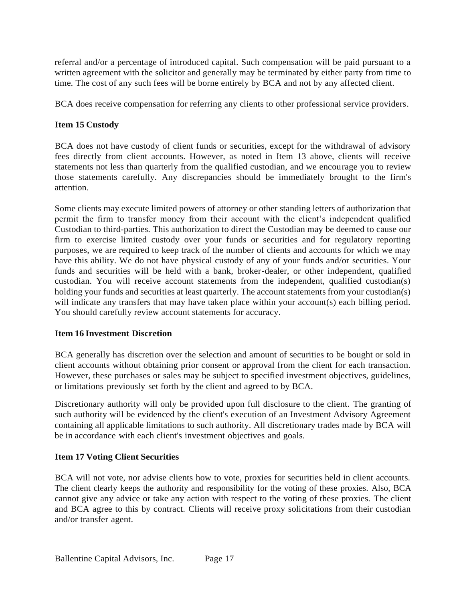referral and/or a percentage of introduced capital. Such compensation will be paid pursuant to a written agreement with the solicitor and generally may be terminated by either party from time to time. The cost of any such fees will be borne entirely by BCA and not by any affected client.

BCA does receive compensation for referring any clients to other professional service providers.

## <span id="page-16-0"></span>**Item 15 Custody**

BCA does not have custody of client funds or securities, except for the withdrawal of advisory fees directly from client accounts. However, as noted in Item 13 above, clients will receive statements not less than quarterly from the qualified custodian, and we encourage you to review those statements carefully. Any discrepancies should be immediately brought to the firm's attention.

Some clients may execute limited powers of attorney or other standing letters of authorization that permit the firm to transfer money from their account with the client's independent qualified Custodian to third-parties. This authorization to direct the Custodian may be deemed to cause our firm to exercise limited custody over your funds or securities and for regulatory reporting purposes, we are required to keep track of the number of clients and accounts for which we may have this ability. We do not have physical custody of any of your funds and/or securities. Your funds and securities will be held with a bank, broker-dealer, or other independent, qualified custodian. You will receive account statements from the independent, qualified custodian(s) holding your funds and securities at least quarterly. The account statements from your custodian(s) will indicate any transfers that may have taken place within your account(s) each billing period. You should carefully review account statements for accuracy.

## <span id="page-16-1"></span>**Item 16 Investment Discretion**

BCA generally has discretion over the selection and amount of securities to be bought or sold in client accounts without obtaining prior consent or approval from the client for each transaction. However, these purchases or sales may be subject to specified investment objectives, guidelines, or limitations previously set forth by the client and agreed to by BCA.

Discretionary authority will only be provided upon full disclosure to the client. The granting of such authority will be evidenced by the client's execution of an Investment Advisory Agreement containing all applicable limitations to such authority. All discretionary trades made by BCA will be in accordance with each client's investment objectives and goals.

## <span id="page-16-2"></span>**Item 17 Voting Client Securities**

BCA will not vote, nor advise clients how to vote, proxies for securities held in client accounts. The client clearly keeps the authority and responsibility for the voting of these proxies. Also, BCA cannot give any advice or take any action with respect to the voting of these proxies. The client and BCA agree to this by contract. Clients will receive proxy solicitations from their custodian and/or transfer agent.